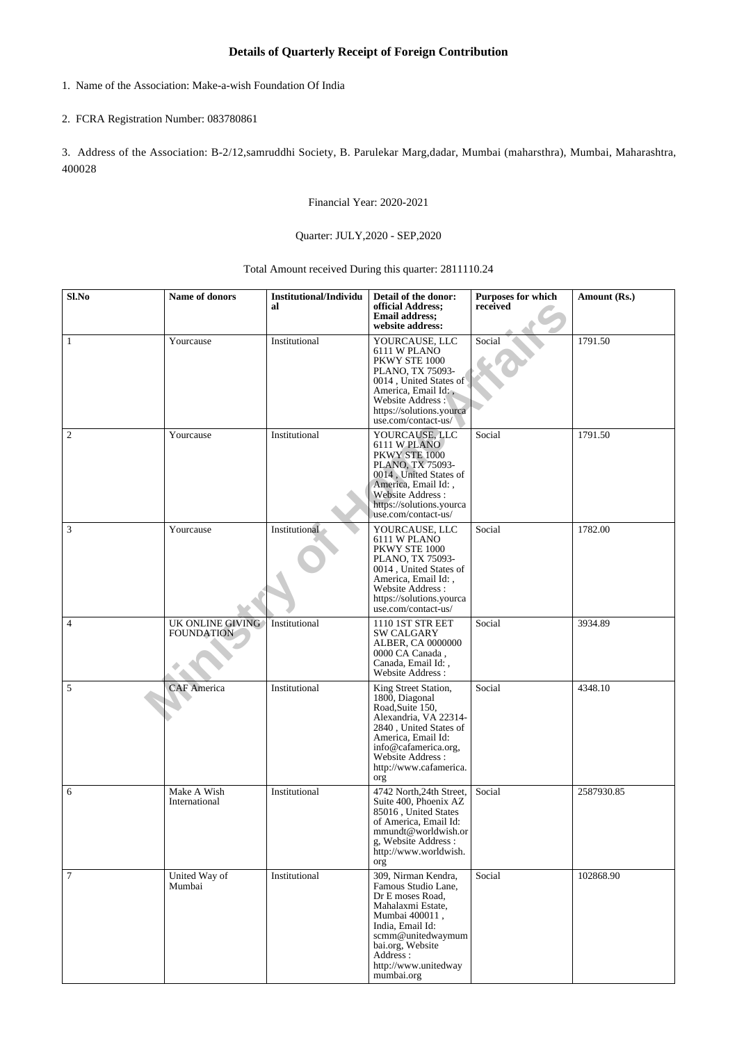## **Details of Quarterly Receipt of Foreign Contribution**

1. Name of the Association: Make-a-wish Foundation Of India

## 2. FCRA Registration Number: 083780861

3. Address of the Association: B-2/12,samruddhi Society, B. Parulekar Marg,dadar, Mumbai (maharsthra), Mumbai, Maharashtra, 400028

Financial Year: 2020-2021

## Quarter: JULY,2020 - SEP,2020

Total Amount received During this quarter: 2811110.24

| Sl.No          | Name of donors                        | <b>Institutional/Individu</b><br>al | Detail of the donor:<br>official Address;<br><b>Email address;</b><br>website address:                                                                                                                               | <b>Purposes for which</b><br>received | Amount (Rs.) |
|----------------|---------------------------------------|-------------------------------------|----------------------------------------------------------------------------------------------------------------------------------------------------------------------------------------------------------------------|---------------------------------------|--------------|
| 1              | Yourcause                             | Institutional                       | YOURCAUSE, LLC<br>6111 W PLANO<br>PKWY STE 1000<br>PLANO, TX 75093-<br>0014, United States of<br>America, Email Id:,<br>Website Address:<br>https://solutions.yourca<br>use.com/contact-us/                          | Social                                | 1791.50      |
| $\mathfrak{2}$ | Yourcause                             | Institutional                       | YOURCAUSE, LLC<br>6111 W PLANO<br>PKWY STE 1000<br>PLANO, TX 75093-<br>0014, United States of<br>America, Email Id:,<br>Website Address:<br>https://solutions.yourca<br>use.com/contact-us/                          | Social                                | 1791.50      |
| $\mathfrak{Z}$ | Yourcause                             | Institutional                       | YOURCAUSE, LLC<br>6111 W PLANO<br>PKWY STE 1000<br>PLANO, TX 75093-<br>0014, United States of<br>America, Email Id:,<br>Website Address:<br>https://solutions.yourca<br>use.com/contact-us/                          | Social                                | 1782.00      |
| $\overline{4}$ | UK ONLINE GIVING<br><b>FOUNDATION</b> | Institutional                       | 1110 1ST STR EET<br><b>SW CALGARY</b><br>ALBER, CA 0000000<br>0000 CA Canada,<br>Canada, Email Id:,<br>Website Address:                                                                                              | Social                                | 3934.89      |
| 5              | <b>CAF</b> America                    | Institutional                       | King Street Station,<br>1800, Diagonal<br>Road, Suite 150,<br>Alexandria, VA 22314-<br>2840, United States of<br>America, Email Id:<br>info@cafamerica.org,<br>Website Address:<br>http://www.cafamerica.<br>org     | Social                                | 4348.10      |
| 6              | Make A Wish<br>International          | Institutional                       | 4742 North, 24th Street,<br>Suite 400, Phoenix AZ<br>85016, United States<br>of America, Email Id:<br>mmundt@worldwish.or<br>g, Website Address :<br>http://www.worldwish.<br>org                                    | Social                                | 2587930.85   |
| 7              | United Way of<br>Mumbai               | Institutional                       | 309, Nirman Kendra,<br>Famous Studio Lane,<br>Dr E moses Road,<br>Mahalaxmi Estate,<br>Mumbai 400011,<br>India, Email Id:<br>scmm@unitedwaymum<br>bai.org, Website<br>Address:<br>http://www.unitedway<br>mumbai.org | Social                                | 102868.90    |